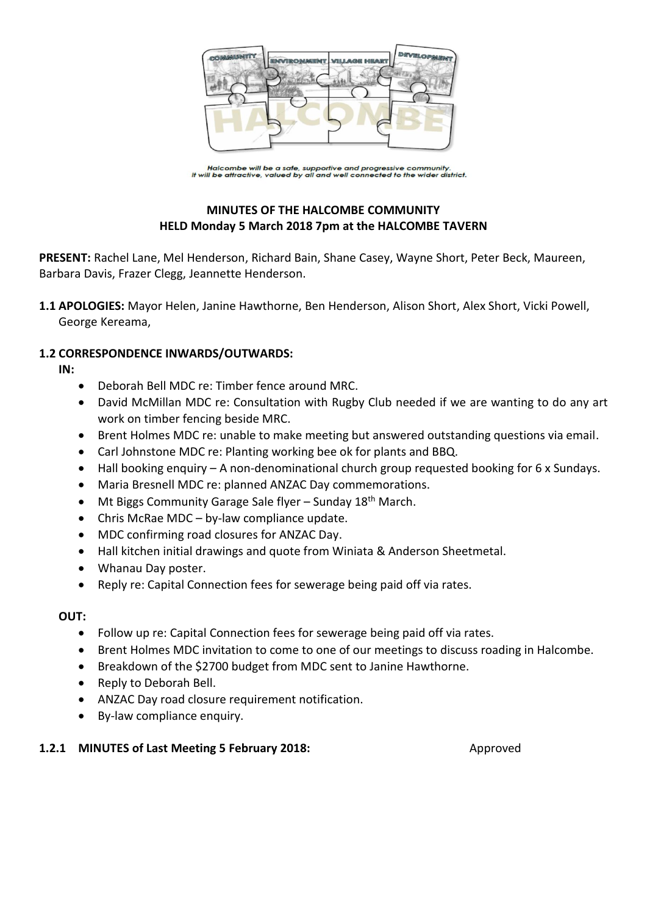

Halcombe will be a safe, supportive and progressive community.<br>It will be attractive, valued by all and well connected to the wider district.

# **MINUTES OF THE HALCOMBE COMMUNITY HELD Monday 5 March 2018 7pm at the HALCOMBE TAVERN**

**PRESENT:** Rachel Lane, Mel Henderson, Richard Bain, Shane Casey, Wayne Short, Peter Beck, Maureen, Barbara Davis, Frazer Clegg, Jeannette Henderson.

**1.1 APOLOGIES:** Mayor Helen, Janine Hawthorne, Ben Henderson, Alison Short, Alex Short, Vicki Powell, George Kereama,

### **1.2 CORRESPONDENCE INWARDS/OUTWARDS:**

**IN:** 

- Deborah Bell MDC re: Timber fence around MRC.
- David McMillan MDC re: Consultation with Rugby Club needed if we are wanting to do any art work on timber fencing beside MRC.
- Brent Holmes MDC re: unable to make meeting but answered outstanding questions via email.
- Carl Johnstone MDC re: Planting working bee ok for plants and BBQ.
- Hall booking enquiry A non-denominational church group requested booking for 6 x Sundays.
- Maria Bresnell MDC re: planned ANZAC Day commemorations.
- $\bullet$  Mt Biggs Community Garage Sale flyer Sunday 18<sup>th</sup> March.
- Chris McRae MDC by-law compliance update.
- MDC confirming road closures for ANZAC Day.
- Hall kitchen initial drawings and quote from Winiata & Anderson Sheetmetal.
- Whanau Day poster.
- Reply re: Capital Connection fees for sewerage being paid off via rates.

### **OUT:**

- Follow up re: Capital Connection fees for sewerage being paid off via rates.
- Brent Holmes MDC invitation to come to one of our meetings to discuss roading in Halcombe.
- Breakdown of the \$2700 budget from MDC sent to Janine Hawthorne.
- Reply to Deborah Bell.
- ANZAC Day road closure requirement notification.
- By-law compliance enquiry.

### **1.2.1 MINUTES of Last Meeting 5 February 2018:** Approved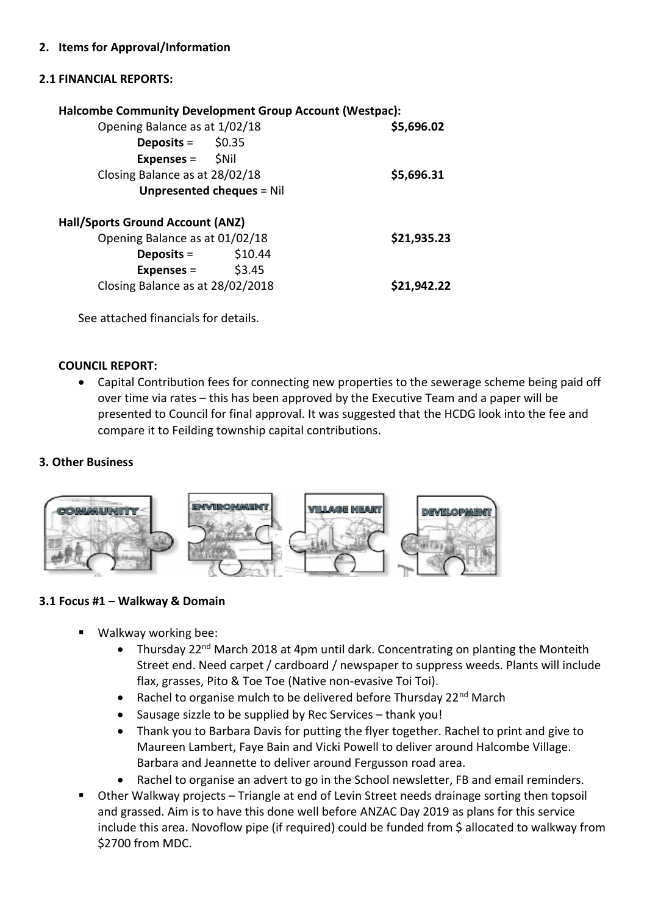## **2.1 FINANCIAL REPORTS:**

| <b>Halcombe Community Development Group Account (Westpac):</b> |             |
|----------------------------------------------------------------|-------------|
| Opening Balance as at 1/02/18                                  | \$5,696.02  |
| <b>Deposits</b> = $$0.35$                                      |             |
| <b>Expenses</b> = $\frac{1}{2}$ Nil                            |             |
| Closing Balance as at 28/02/18                                 | \$5,696.31  |
| <b>Unpresented cheques = Nil</b>                               |             |
| Hall/Sports Ground Account (ANZ)                               |             |
| Opening Balance as at 01/02/18                                 | \$21,935.23 |
| Deposits =                                                     | \$10.44     |
| Expenses = $$3.45$                                             |             |
| Closing Balance as at 28/02/2018                               | \$21,942.22 |
|                                                                |             |

See attached financials for details.

### **COUNCIL REPORT:**

 Capital Contribution fees for connecting new properties to the sewerage scheme being paid off over time via rates – this has been approved by the Executive Team and a paper will be presented to Council for final approval. It was suggested that the HCDG look into the fee and compare it to Feilding township capital contributions.

### **3. Other Business**



### **3.1 Focus #1 – Walkway & Domain**

- Walkway working bee:
	- Thursday 22<sup>nd</sup> March 2018 at 4pm until dark. Concentrating on planting the Monteith Street end. Need carpet / cardboard / newspaper to suppress weeds. Plants will include flax, grasses, Pito & Toe Toe (Native non-evasive Toi Toi).
	- Rachel to organise mulch to be delivered before Thursday  $22^{nd}$  March
	- Sausage sizzle to be supplied by Rec Services thank you!
	- Thank you to Barbara Davis for putting the flyer together. Rachel to print and give to Maureen Lambert, Faye Bain and Vicki Powell to deliver around Halcombe Village. Barbara and Jeannette to deliver around Fergusson road area.
	- Rachel to organise an advert to go in the School newsletter, FB and email reminders.
- Other Walkway projects Triangle at end of Levin Street needs drainage sorting then topsoil and grassed. Aim is to have this done well before ANZAC Day 2019 as plans for this service include this area. Novoflow pipe (if required) could be funded from \$ allocated to walkway from \$2700 from MDC.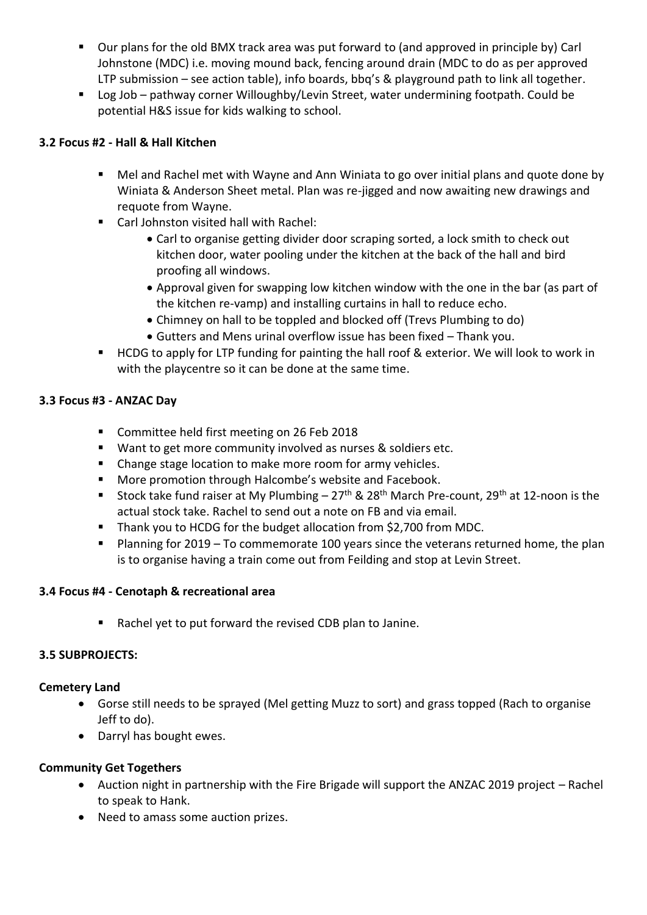- Our plans for the old BMX track area was put forward to (and approved in principle by) Carl Johnstone (MDC) i.e. moving mound back, fencing around drain (MDC to do as per approved LTP submission – see action table), info boards, bbq's & playground path to link all together.
- Log Job pathway corner Willoughby/Levin Street, water undermining footpath. Could be potential H&S issue for kids walking to school.

## **3.2 Focus #2 - Hall & Hall Kitchen**

- Mel and Rachel met with Wayne and Ann Winiata to go over initial plans and quote done by Winiata & Anderson Sheet metal. Plan was re-jigged and now awaiting new drawings and requote from Wayne.
- Carl Johnston visited hall with Rachel:
	- Carl to organise getting divider door scraping sorted, a lock smith to check out kitchen door, water pooling under the kitchen at the back of the hall and bird proofing all windows.
	- Approval given for swapping low kitchen window with the one in the bar (as part of the kitchen re-vamp) and installing curtains in hall to reduce echo.
	- Chimney on hall to be toppled and blocked off (Trevs Plumbing to do)
	- Gutters and Mens urinal overflow issue has been fixed Thank you.
- HCDG to apply for LTP funding for painting the hall roof & exterior. We will look to work in with the playcentre so it can be done at the same time.

### **3.3 Focus #3 - ANZAC Day**

- Committee held first meeting on 26 Feb 2018
- Want to get more community involved as nurses & soldiers etc.
- Change stage location to make more room for army vehicles.
- **More promotion through Halcombe's website and Facebook.**
- Stock take fund raiser at My Plumbing  $-27$ <sup>th</sup> & 28<sup>th</sup> March Pre-count, 29<sup>th</sup> at 12-noon is the actual stock take. Rachel to send out a note on FB and via email.
- Thank you to HCDG for the budget allocation from \$2,700 from MDC.
- Planning for  $2019 To$  commemorate 100 years since the veterans returned home, the plan is to organise having a train come out from Feilding and stop at Levin Street.

### **3.4 Focus #4 - Cenotaph & recreational area**

Rachel yet to put forward the revised CDB plan to Janine.

### **3.5 SUBPROJECTS:**

### **Cemetery Land**

- Gorse still needs to be sprayed (Mel getting Muzz to sort) and grass topped (Rach to organise Jeff to do).
- Darryl has bought ewes.

### **Community Get Togethers**

- Auction night in partnership with the Fire Brigade will support the ANZAC 2019 project Rachel to speak to Hank.
- Need to amass some auction prizes.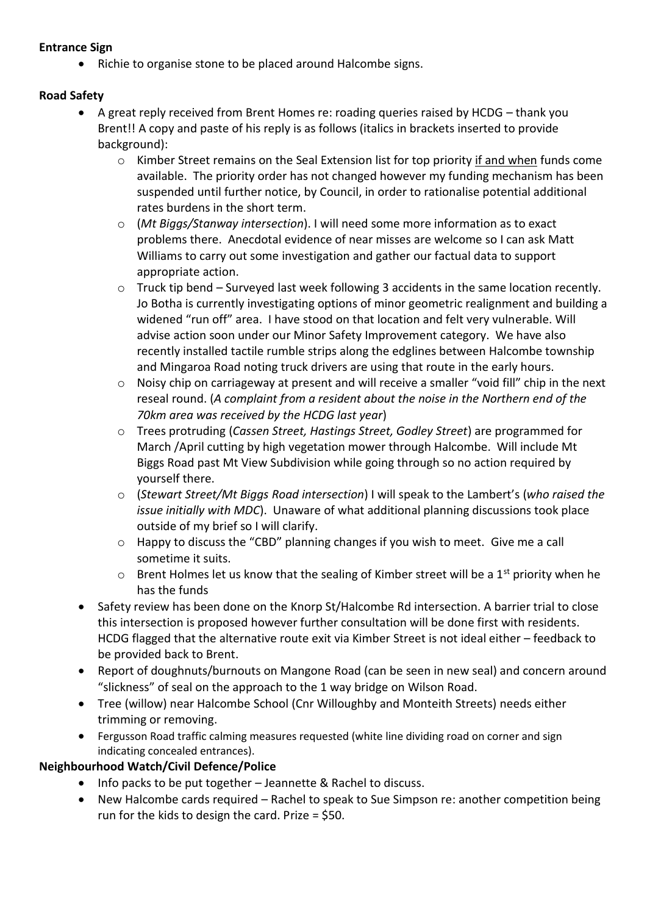### **Entrance Sign**

• Richie to organise stone to be placed around Halcombe signs.

## **Road Safety**

- A great reply received from Brent Homes re: roading queries raised by HCDG thank you Brent!! A copy and paste of his reply is as follows (italics in brackets inserted to provide background):
	- o Kimber Street remains on the Seal Extension list for top priority if and when funds come available. The priority order has not changed however my funding mechanism has been suspended until further notice, by Council, in order to rationalise potential additional rates burdens in the short term.
	- o (*Mt Biggs/Stanway intersection*). I will need some more information as to exact problems there. Anecdotal evidence of near misses are welcome so I can ask Matt Williams to carry out some investigation and gather our factual data to support appropriate action.
	- o Truck tip bend Surveyed last week following 3 accidents in the same location recently. Jo Botha is currently investigating options of minor geometric realignment and building a widened "run off" area. I have stood on that location and felt very vulnerable. Will advise action soon under our Minor Safety Improvement category. We have also recently installed tactile rumble strips along the edglines between Halcombe township and Mingaroa Road noting truck drivers are using that route in the early hours.
	- o Noisy chip on carriageway at present and will receive a smaller "void fill" chip in the next reseal round. (*A complaint from a resident about the noise in the Northern end of the 70km area was received by the HCDG last year*)
	- o Trees protruding (*Cassen Street, Hastings Street, Godley Street*) are programmed for March /April cutting by high vegetation mower through Halcombe. Will include Mt Biggs Road past Mt View Subdivision while going through so no action required by yourself there.
	- o (*Stewart Street/Mt Biggs Road intersection*) I will speak to the Lambert's (*who raised the issue initially with MDC*). Unaware of what additional planning discussions took place outside of my brief so I will clarify.
	- o Happy to discuss the "CBD" planning changes if you wish to meet. Give me a call sometime it suits.
	- $\circ$  Brent Holmes let us know that the sealing of Kimber street will be a 1<sup>st</sup> priority when he has the funds
- Safety review has been done on the Knorp St/Halcombe Rd intersection. A barrier trial to close this intersection is proposed however further consultation will be done first with residents. HCDG flagged that the alternative route exit via Kimber Street is not ideal either – feedback to be provided back to Brent.
- Report of doughnuts/burnouts on Mangone Road (can be seen in new seal) and concern around "slickness" of seal on the approach to the 1 way bridge on Wilson Road.
- Tree (willow) near Halcombe School (Cnr Willoughby and Monteith Streets) needs either trimming or removing.
- Fergusson Road traffic calming measures requested (white line dividing road on corner and sign indicating concealed entrances).

# **Neighbourhood Watch/Civil Defence/Police**

- Info packs to be put together Jeannette & Rachel to discuss.
- New Halcombe cards required Rachel to speak to Sue Simpson re: another competition being run for the kids to design the card. Prize = \$50.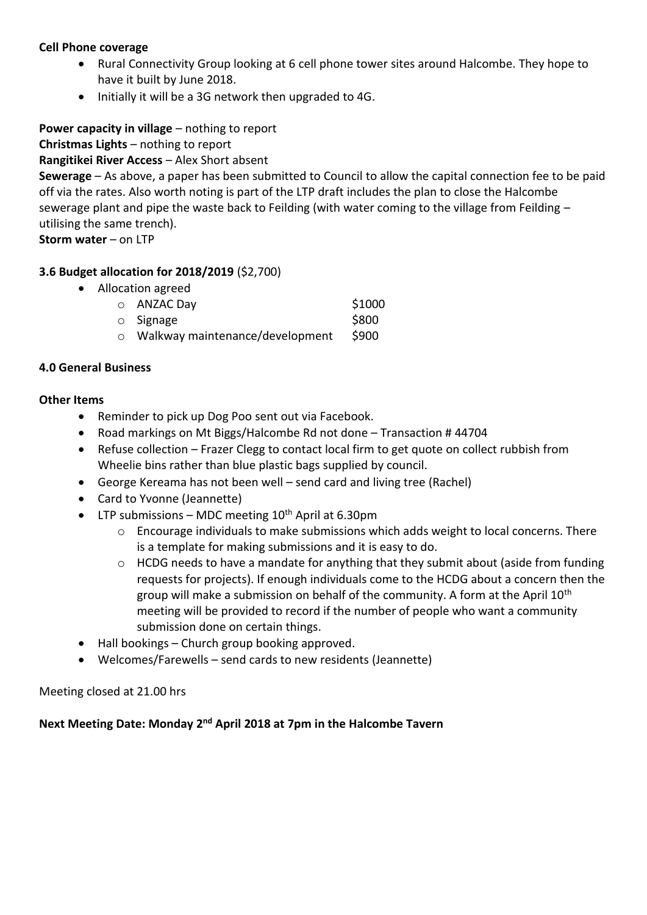#### **Cell Phone coverage**

- Rural Connectivity Group looking at 6 cell phone tower sites around Halcombe. They hope to have it built by June 2018.
- Initially it will be a 3G network then upgraded to 4G.

**Power capacity in village** – nothing to report

**Christmas Lights** – nothing to report

**Rangitikei River Access** – Alex Short absent

**Sewerage** – As above, a paper has been submitted to Council to allow the capital connection fee to be paid off via the rates. Also worth noting is part of the LTP draft includes the plan to close the Halcombe sewerage plant and pipe the waste back to Feilding (with water coming to the village from Feilding – utilising the same trench).

**Storm water** – on LTP

## **3.6 Budget allocation for 2018/2019** (\$2,700)

|  | \$1000                                                                                                 |
|--|--------------------------------------------------------------------------------------------------------|
|  | \$800                                                                                                  |
|  | \$900                                                                                                  |
|  | • Allocation agreed<br>$\circ$ ANZAC Day<br>$\circ$ Signage<br>$\circ$ Walkway maintenance/development |

#### **4.0 General Business**

#### **Other Items**

- Reminder to pick up Dog Poo sent out via Facebook.
- Road markings on Mt Biggs/Halcombe Rd not done Transaction #44704
- Refuse collection Frazer Clegg to contact local firm to get quote on collect rubbish from Wheelie bins rather than blue plastic bags supplied by council.
- George Kereama has not been well send card and living tree (Rachel)
- Card to Yvonne (Jeannette)
- LTP submissions MDC meeting  $10^{th}$  April at 6.30pm
	- $\circ$  Encourage individuals to make submissions which adds weight to local concerns. There is a template for making submissions and it is easy to do.
	- $\circ$  HCDG needs to have a mandate for anything that they submit about (aside from funding requests for projects). If enough individuals come to the HCDG about a concern then the group will make a submission on behalf of the community. A form at the April  $10<sup>th</sup>$ meeting will be provided to record if the number of people who want a community submission done on certain things.
- Hall bookings Church group booking approved.
- Welcomes/Farewells send cards to new residents (Jeannette)

### Meeting closed at 21.00 hrs

# Next Meeting Date: Monday 2<sup>nd</sup> April 2018 at 7pm in the Halcombe Tavern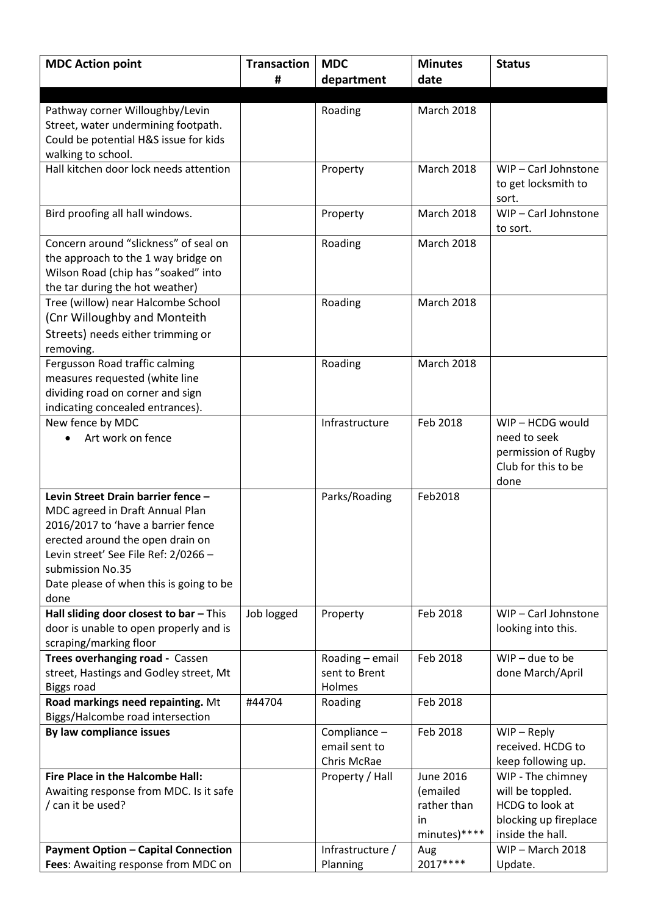| <b>MDC Action point</b>                                                   | <b>Transaction</b> | <b>MDC</b>              | <b>Minutes</b>    | <b>Status</b>         |
|---------------------------------------------------------------------------|--------------------|-------------------------|-------------------|-----------------------|
|                                                                           | #                  | department              | date              |                       |
|                                                                           |                    |                         |                   |                       |
| Pathway corner Willoughby/Levin                                           |                    | Roading                 | <b>March 2018</b> |                       |
| Street, water undermining footpath.                                       |                    |                         |                   |                       |
| Could be potential H&S issue for kids                                     |                    |                         |                   |                       |
| walking to school.                                                        |                    |                         |                   |                       |
| Hall kitchen door lock needs attention                                    |                    | Property                | <b>March 2018</b> | WIP-Carl Johnstone    |
|                                                                           |                    |                         |                   | to get locksmith to   |
|                                                                           |                    |                         |                   | sort.                 |
| Bird proofing all hall windows.                                           |                    | Property                | <b>March 2018</b> | WIP-Carl Johnstone    |
|                                                                           |                    |                         |                   | to sort.              |
| Concern around "slickness" of seal on                                     |                    | Roading                 | March 2018        |                       |
| the approach to the 1 way bridge on                                       |                    |                         |                   |                       |
| Wilson Road (chip has "soaked" into                                       |                    |                         |                   |                       |
| the tar during the hot weather)                                           |                    |                         |                   |                       |
| Tree (willow) near Halcombe School                                        |                    | Roading                 | March 2018        |                       |
| (Cnr Willoughby and Monteith                                              |                    |                         |                   |                       |
| Streets) needs either trimming or                                         |                    |                         |                   |                       |
| removing.                                                                 |                    |                         |                   |                       |
| Fergusson Road traffic calming                                            |                    | Roading                 | <b>March 2018</b> |                       |
| measures requested (white line                                            |                    |                         |                   |                       |
| dividing road on corner and sign                                          |                    |                         |                   |                       |
| indicating concealed entrances).                                          |                    |                         |                   |                       |
| New fence by MDC                                                          |                    | Infrastructure          | Feb 2018          | WIP - HCDG would      |
| Art work on fence                                                         |                    |                         |                   | need to seek          |
|                                                                           |                    |                         |                   | permission of Rugby   |
|                                                                           |                    |                         |                   | Club for this to be   |
|                                                                           |                    |                         |                   | done                  |
| Levin Street Drain barrier fence -                                        |                    | Parks/Roading           | Feb2018           |                       |
| MDC agreed in Draft Annual Plan                                           |                    |                         |                   |                       |
| 2016/2017 to 'have a barrier fence                                        |                    |                         |                   |                       |
| erected around the open drain on                                          |                    |                         |                   |                       |
| Levin street' See File Ref: 2/0266 -                                      |                    |                         |                   |                       |
| submission No.35                                                          |                    |                         |                   |                       |
| Date please of when this is going to be                                   |                    |                         |                   |                       |
| done                                                                      |                    |                         |                   |                       |
| Hall sliding door closest to bar - This                                   | Job logged         | Property                | Feb 2018          | WIP-Carl Johnstone    |
| door is unable to open properly and is                                    |                    |                         |                   | looking into this.    |
| scraping/marking floor                                                    |                    |                         |                   | $WIP - due to be$     |
| Trees overhanging road - Cassen<br>street, Hastings and Godley street, Mt |                    | Roading - email         | Feb 2018          |                       |
| <b>Biggs road</b>                                                         |                    | sent to Brent<br>Holmes |                   | done March/April      |
| Road markings need repainting. Mt                                         | #44704             | Roading                 | Feb 2018          |                       |
| Biggs/Halcombe road intersection                                          |                    |                         |                   |                       |
| By law compliance issues                                                  |                    | Compliance -            | Feb 2018          | $WIP - Reply$         |
|                                                                           |                    | email sent to           |                   | received. HCDG to     |
|                                                                           |                    | Chris McRae             |                   | keep following up.    |
| Fire Place in the Halcombe Hall:                                          |                    | Property / Hall         | June 2016         | WIP - The chimney     |
| Awaiting response from MDC. Is it safe                                    |                    |                         | (emailed          | will be toppled.      |
| / can it be used?                                                         |                    |                         | rather than       | HCDG to look at       |
|                                                                           |                    |                         | in                | blocking up fireplace |
|                                                                           |                    |                         | minutes)****      | inside the hall.      |
| <b>Payment Option - Capital Connection</b>                                |                    | Infrastructure /        | Aug               | $WIP - March 2018$    |
| Fees: Awaiting response from MDC on                                       |                    | Planning                | 2017****          | Update.               |